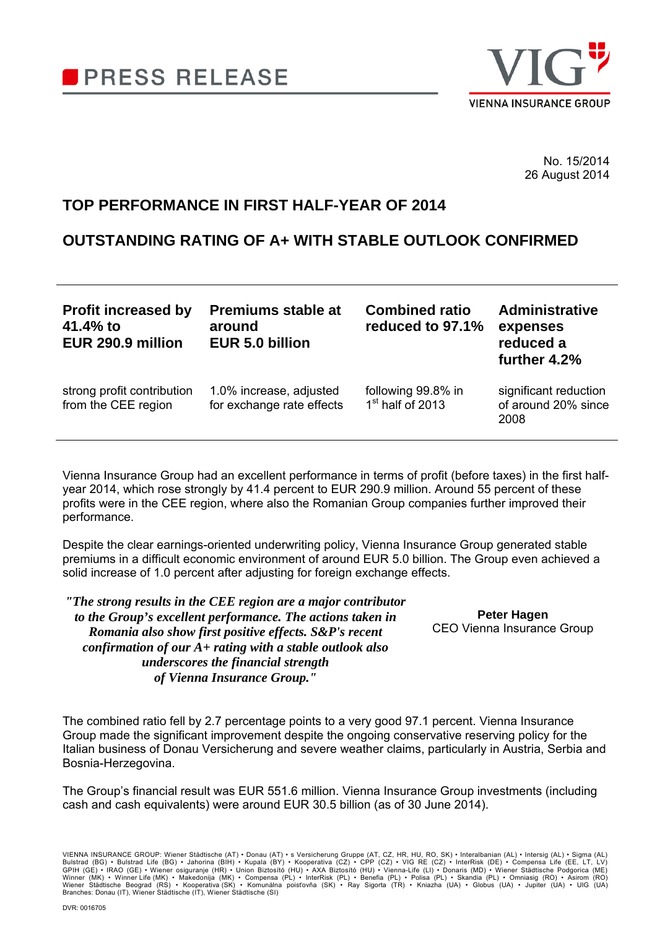

No. 15/2014 26 August 2014

# **TOP PERFORMANCE IN FIRST HALF-YEAR OF 2014**

# **OUTSTANDING RATING OF A+ WITH STABLE OUTLOOK CONFIRMED**

| <b>Profit increased by</b><br>41.4% to<br>EUR 290.9 million | <b>Premiums stable at</b><br>around<br>EUR 5.0 billion | <b>Combined ratio</b><br>reduced to 97.1% | <b>Administrative</b><br>expenses<br>reduced a<br>further 4.2% |
|-------------------------------------------------------------|--------------------------------------------------------|-------------------------------------------|----------------------------------------------------------------|
| strong profit contribution<br>from the CEE region           | 1.0% increase, adjusted<br>for exchange rate effects   | following 99.8% in<br>$1st$ half of 2013  | significant reduction<br>of around 20% since<br>2008           |

Vienna Insurance Group had an excellent performance in terms of profit (before taxes) in the first halfyear 2014, which rose strongly by 41.4 percent to EUR 290.9 million. Around 55 percent of these profits were in the CEE region, where also the Romanian Group companies further improved their performance.

Despite the clear earnings-oriented underwriting policy, Vienna Insurance Group generated stable premiums in a difficult economic environment of around EUR 5.0 billion. The Group even achieved a solid increase of 1.0 percent after adjusting for foreign exchange effects.

*"The strong results in the CEE region are a major contributor to the Group's excellent performance. The actions taken in Romania also show first positive effects. S&P's recent confirmation of our A+ rating with a stable outlook also underscores the financial strength of Vienna Insurance Group."*

**Peter Hagen**  CEO Vienna Insurance Group

The combined ratio fell by 2.7 percentage points to a very good 97.1 percent. Vienna Insurance Group made the significant improvement despite the ongoing conservative reserving policy for the Italian business of Donau Versicherung and severe weather claims, particularly in Austria, Serbia and Bosnia-Herzegovina.

The Group's financial result was EUR 551.6 million. Vienna Insurance Group investments (including cash and cash equivalents) were around EUR 30.5 billion (as of 30 June 2014).

VIENNA INSURANCE GROUP: Wiener Städtische (AT) • Donau (AT) • s Versicherung Gruppe (AT, CZ, HR, HU, RO, SK) • Interalbanian (AL) • Intersig (AL) • Sigma (AL)<br>Bulstrad (BG) • Bulstrad Life (BG) • Jahorina (BIH) • Kupala (B Branches: Donau (IT), Wiener Städtische (IT), Wiener Städtische (SI)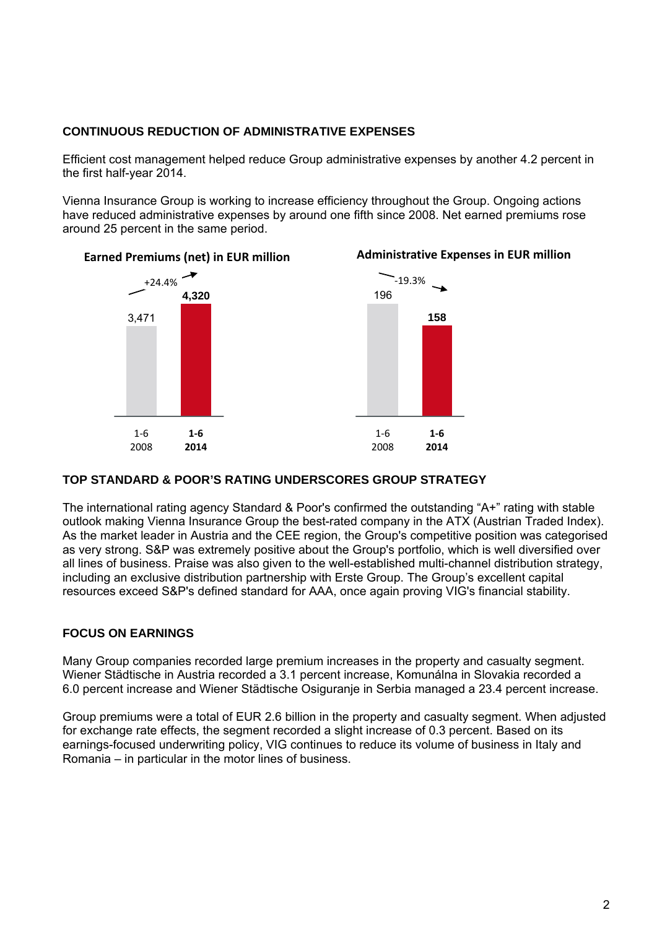## **CONTINUOUS REDUCTION OF ADMINISTRATIVE EXPENSES**

Efficient cost management helped reduce Group administrative expenses by another 4.2 percent in the first half-year 2014.

Vienna Insurance Group is working to increase efficiency throughout the Group. Ongoing actions have reduced administrative expenses by around one fifth since 2008. Net earned premiums rose around 25 percent in the same period.

## **Earned Premiums (net) in EUR million**



## **TOP STANDARD & POOR'S RATING UNDERSCORES GROUP STRATEGY**

The international rating agency Standard & Poor's confirmed the outstanding "A+" rating with stable outlook making Vienna Insurance Group the best-rated company in the ATX (Austrian Traded Index). As the market leader in Austria and the CEE region, the Group's competitive position was categorised as very strong. S&P was extremely positive about the Group's portfolio, which is well diversified over all lines of business. Praise was also given to the well-established multi-channel distribution strategy, including an exclusive distribution partnership with Erste Group. The Group's excellent capital resources exceed S&P's defined standard for AAA, once again proving VIG's financial stability.

## **FOCUS ON EARNINGS**

Many Group companies recorded large premium increases in the property and casualty segment. Wiener Städtische in Austria recorded a 3.1 percent increase, Komunálna in Slovakia recorded a 6.0 percent increase and Wiener Städtische Osiguranje in Serbia managed a 23.4 percent increase.

Group premiums were a total of EUR 2.6 billion in the property and casualty segment. When adjusted for exchange rate effects, the segment recorded a slight increase of 0.3 percent. Based on its earnings-focused underwriting policy, VIG continues to reduce its volume of business in Italy and Romania – in particular in the motor lines of business.

## **Administrative Expenses in EUR million**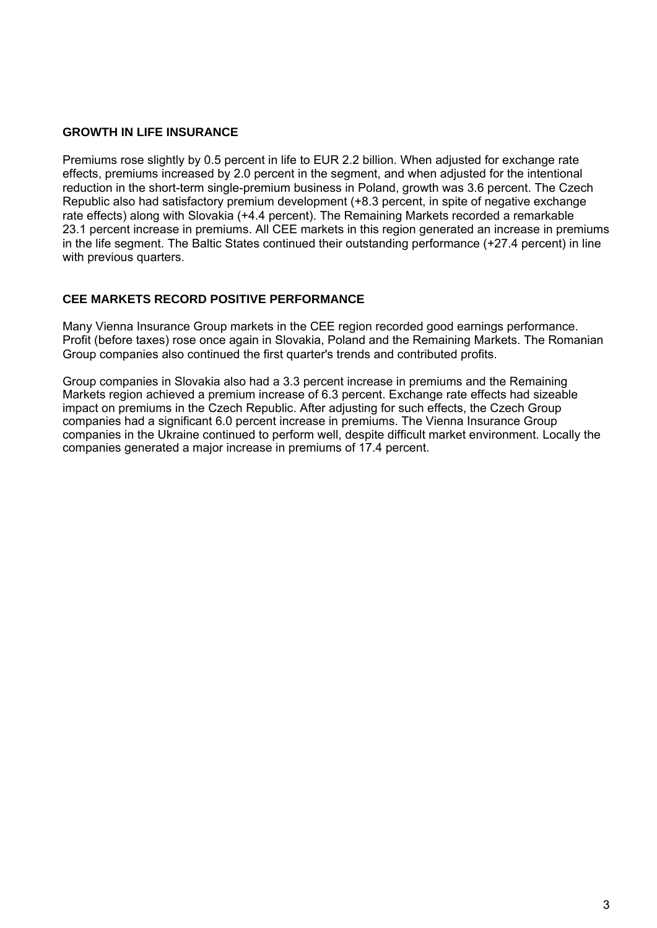### **GROWTH IN LIFE INSURANCE**

Premiums rose slightly by 0.5 percent in life to EUR 2.2 billion. When adjusted for exchange rate effects, premiums increased by 2.0 percent in the segment, and when adjusted for the intentional reduction in the short-term single-premium business in Poland, growth was 3.6 percent. The Czech Republic also had satisfactory premium development (+8.3 percent, in spite of negative exchange rate effects) along with Slovakia (+4.4 percent). The Remaining Markets recorded a remarkable 23.1 percent increase in premiums. All CEE markets in this region generated an increase in premiums in the life segment. The Baltic States continued their outstanding performance (+27.4 percent) in line with previous quarters.

#### **CEE MARKETS RECORD POSITIVE PERFORMANCE**

Many Vienna Insurance Group markets in the CEE region recorded good earnings performance. Profit (before taxes) rose once again in Slovakia, Poland and the Remaining Markets. The Romanian Group companies also continued the first quarter's trends and contributed profits.

Group companies in Slovakia also had a 3.3 percent increase in premiums and the Remaining Markets region achieved a premium increase of 6.3 percent. Exchange rate effects had sizeable impact on premiums in the Czech Republic. After adjusting for such effects, the Czech Group companies had a significant 6.0 percent increase in premiums. The Vienna Insurance Group companies in the Ukraine continued to perform well, despite difficult market environment. Locally the companies generated a major increase in premiums of 17.4 percent.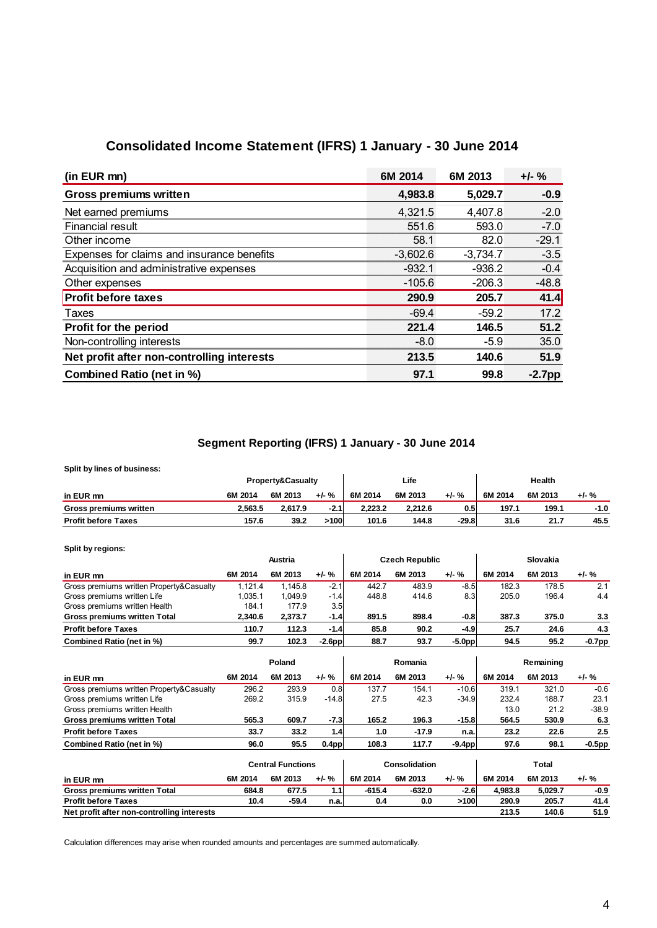# **Consolidated Income Statement (IFRS) 1 January - 30 June 2014**

| (in EUR mn)                                | 6M 2014    | 6M 2013    | $+/-$ %   |
|--------------------------------------------|------------|------------|-----------|
| <b>Gross premiums written</b>              | 4,983.8    | 5,029.7    | $-0.9$    |
| Net earned premiums                        | 4,321.5    | 4,407.8    | $-2.0$    |
| <b>Financial result</b>                    | 551.6      | 593.0      | $-7.0$    |
| Other income                               | 58.1       | 82.0       | $-29.1$   |
| Expenses for claims and insurance benefits | $-3,602.6$ | $-3,734.7$ | $-3.5$    |
| Acquisition and administrative expenses    | $-932.1$   | $-936.2$   | $-0.4$    |
| Other expenses                             | $-105.6$   | $-206.3$   | $-48.8$   |
| <b>Profit before taxes</b>                 | 290.9      | 205.7      | 41.4      |
| Taxes                                      | $-69.4$    | $-59.2$    | 17.2      |
| Profit for the period                      | 221.4      | 146.5      | 51.2      |
| Non-controlling interests                  | $-8.0$     | $-5.9$     | 35.0      |
| Net profit after non-controlling interests | 213.5      | 140.6      | 51.9      |
| <b>Combined Ratio (net in %)</b>           | 97.1       | 99.8       | $-2.7$ pp |

## **Segment Reporting (IFRS) 1 January - 30 June 2014**

**Split by lines of business:**

| Split by lines of business:   |         |                              |         |         |         |         |         |         |       |
|-------------------------------|---------|------------------------------|---------|---------|---------|---------|---------|---------|-------|
|                               |         | <b>Property&amp;Casualty</b> |         |         | Life    |         |         | Health  |       |
| in EUR mn                     | 6M 2014 | 6M 2013                      | $+/-$ % | 6M 2014 | 6M 2013 | $+/-$ % | 6M 2014 | 6M 2013 | +/- % |
| <b>Gross premiums written</b> | 2.563.5 | 2.617.9                      | $-2.1$  | 2.223.2 | 2.212.6 | 0.5     | 197.1   | 199.1   | -1.0  |
| <b>Profit before Taxes</b>    | 157.6   | 39.2                         | >100    | 101.6   | 144.8   | $-29.8$ | 31.6    | 21.7    | 45.5  |

**Split by regions:**

|                                          |         | Austria |                  |         | <b>Czech Republic</b> |                  |         | Slovakia |           |
|------------------------------------------|---------|---------|------------------|---------|-----------------------|------------------|---------|----------|-----------|
| in EUR mn                                | 6M 2014 | 6M 2013 | $+/-$ %          | 6M 2014 | 6M 2013               | $+/-$ %          | 6M 2014 | 6M 2013  | $+/-$ %   |
| Gross premiums written Property&Casualty | 1.121.4 | 1.145.8 | $-2.1$           | 442.7   | 483.9                 | $-8.5$           | 182.3   | 178.5    | 2.1       |
| Gross premiums written Life              | .035.1  | 1.049.9 | $-1.4$           | 448.8   | 414.6                 | 8.3 <sub>l</sub> | 205.0   | 196.4    | 4.4       |
| Gross premiums written Health            | 184.1   | 177.9   | 3.5 <sub>l</sub> |         |                       |                  |         |          |           |
| <b>Gross premiums written Total</b>      | 2.340.6 | 2.373.7 | $-1.4$           | 891.5   | 898.4                 | $-0.8$           | 387.3   | 375.0    | 3.3       |
| <b>Profit before Taxes</b>               | 110.7   | 112.3   | $-1.4$           | 85.8    | 90.2                  | $-4.9$           | 25.7    | 24.6     | 4.3       |
| Combined Ratio (net in %)                | 99.7    | 102.3   | $-2.6pp$         | 88.7    | 93.7                  | $-5.0pp$         | 94.5    | 95.2     | $-0.7$ pp |

|                                          |         | Poland  |                   |         | Romania |          |         | Remaining |           |
|------------------------------------------|---------|---------|-------------------|---------|---------|----------|---------|-----------|-----------|
| in EUR mn                                | 6M 2014 | 6M 2013 | $+/-$ %           | 6M 2014 | 6M 2013 | $+/-$ %  | 6M 2014 | 6M 2013   | $+/-$ %   |
| Gross premiums written Property&Casualty | 296.2   | 293.9   | 0.8               | 137.7   | 154.1   | $-10.6$  | 319.1   | 321.0     | $-0.6$    |
| Gross premiums written Life              | 269.2   | 315.9   | $-14.8$           | 27.5    | 42.3    | $-34.9$  | 232.4   | 188.7     | 23.1      |
| Gross premiums written Health            |         |         |                   |         |         |          | 13.0    | 21.2      | $-38.9$   |
| <b>Gross premiums written Total</b>      | 565.3   | 609.7   | $-7.3$            | 165.2   | 196.3   | $-15.8$  | 564.5   | 530.9     | 6.3       |
| <b>Profit before Taxes</b>               | 33.7    | 33.2    | 1.4               | 1.0     | $-17.9$ | n.a.     | 23.2    | 22.6      | 2.5       |
| Combined Ratio (net in %)                | 96.0    | 95.5    | 0.4 <sub>pp</sub> | 108.3   | 117.7   | $-9.4pp$ | 97.6    | 98.1      | $-0.5$ pp |
|                                          |         |         |                   |         |         |          |         |           |           |

|                                            |         | <b>Central Functions</b> |         |          | Consolidation |         |         | Total   |         |
|--------------------------------------------|---------|--------------------------|---------|----------|---------------|---------|---------|---------|---------|
| in EUR mn                                  | 6M 2014 | 6M 2013                  | $+/-$ % | 6M 2014  | 6M 2013       | $+/-$ % | 6M 2014 | 6M 2013 | $+/-$ % |
| <b>Gross premiums written Total</b>        | 684.8   | 677.5                    | 1.1'    | $-615.4$ | $-632.0$      | $-2.6$  | 4.983.8 | 5.029.7 | $-0.9$  |
| <b>Profit before Taxes</b>                 | 10.4    | $-59.4$                  | n.a.    | 0.4      | 0.0           | >100    | 290.9   | 205.7   | 41.4    |
| Net profit after non-controlling interests |         |                          |         |          |               |         | 213.5   | 140.6   | 51.9    |

Calculation differences may arise when rounded amounts and percentages are summed automatically.